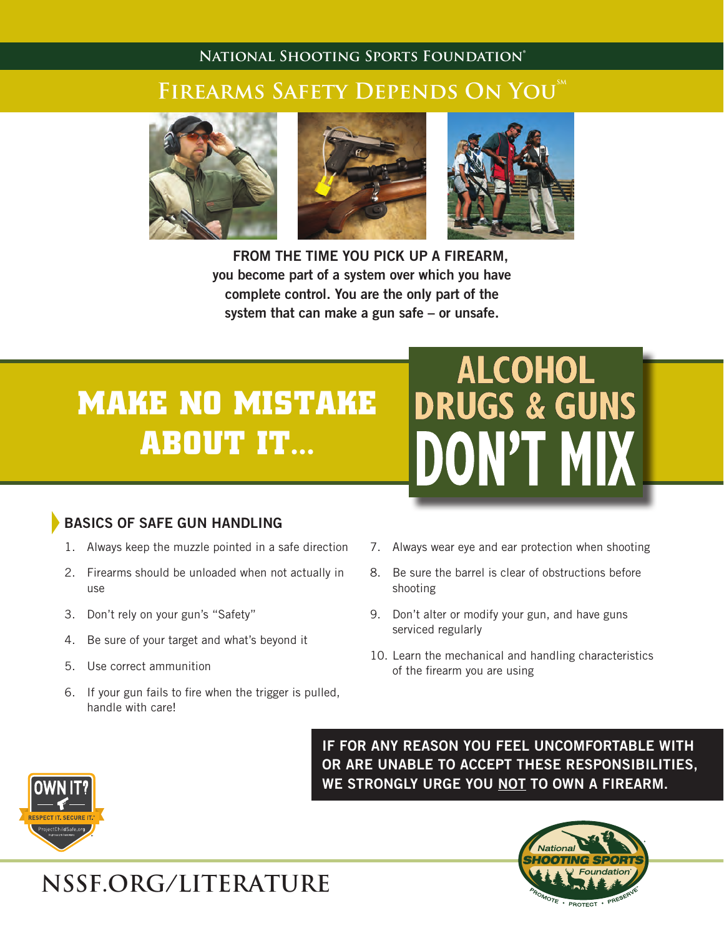# **National Shooting Sports Foundation®**

# **FIREARMS SAFETY DEPENDS ON YOU<sup>M</sup>**



 FROM THE TIME YOU PICK UP A FIREARM, you become part of a system over which you have complete control. You are the only part of the system that can make a gun safe – or unsafe.

# **MAKE NO MISTAKE ABOUT IT...**

# BASICS OF SAFE GUN HANDLING

- 1. Always keep the muzzle pointed in a safe direction
- 2. Firearms should be unloaded when not actually in use
- 3. Don't rely on your gun's "Safety"
- 4. Be sure of your target and what's beyond it
- 5. Use correct ammunition
- 6. If your gun fails to fire when the trigger is pulled, handle with care!

7. Always wear eye and ear protection when shooting

**ALCOHOL<br>DRUGS & GUNS** 

DON'T MIX

- 8. Be sure the barrel is clear of obstructions before shooting
- 9. Don't alter or modify your gun, and have guns serviced regularly
- 10. Learn the mechanical and handling characteristics of the firearm you are using

IF FOR ANY REASON YOU FEEL UNCOMFORTABLE WITH OR ARE UNABLE TO ACCEPT THESE RESPONSIBILITIES, WE STRONGLY URGE YOU NOT TO OWN A FIREARM.





# **NSSF.ORG/LITERATURE**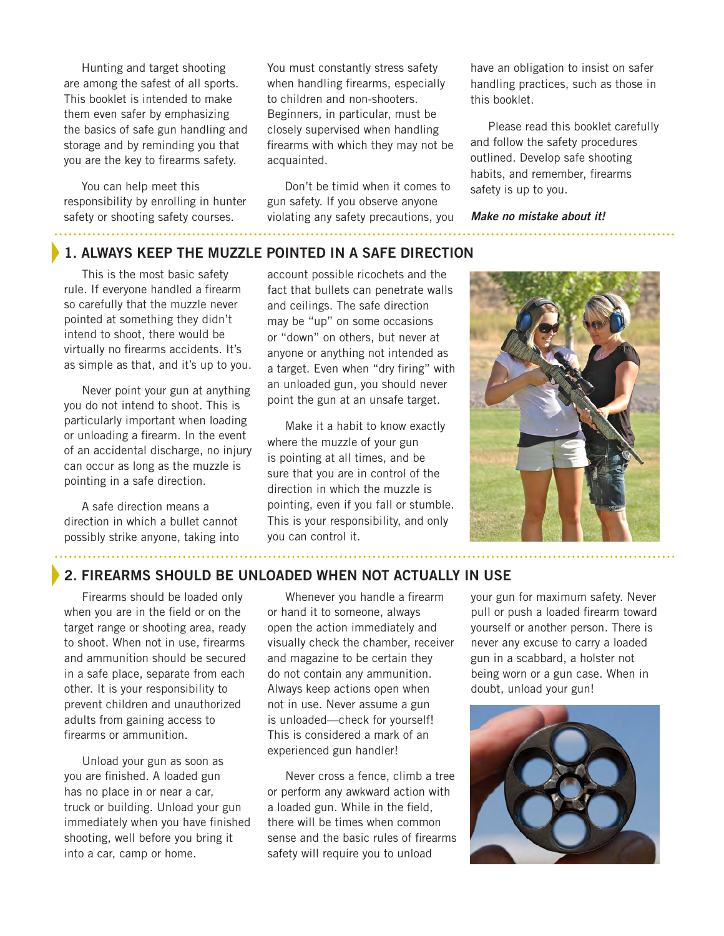Hunting and target shooting are among the safest of all sports. This booklet is intended to make them even safer by emphasizing the basics of safe gun handling and storage and by reminding you that you are the key to firearms safety.

You can help meet this responsibility by enrolling in hunter safety or shooting safety courses.

You must constantly stress safety when handling firearms, especially to children and non-shooters. Beginners, in particular, must be closely supervised when handling firearms with which they may not be acquainted.

Don't be timid when it comes to gun safety. If you observe anyone violating any safety precautions, you have an obligation to insist on safer handling practices, such as those in this booklet.

Please read this booklet carefully and follow the safety procedures outlined. Develop safe shooting habits, and remember, firearms safety is up to you.

*Make no mistake about it!*

#### 1. ALWAYS KEEP THE MUZZLE POINTED IN A SAFE DIRECTION

This is the most basic safety rule. If everyone handled a firearm so carefully that the muzzle never pointed at something they didn't intend to shoot, there would be virtually no firearms accidents. It's as simple as that, and it's up to you.

Never point your gun at anything you do not intend to shoot. This is particularly important when loading or unloading a firearm. In the event of an accidental discharge, no injury can occur as long as the muzzle is pointing in a safe direction.

A safe direction means a direction in which a bullet cannot possibly strike anyone, taking into account possible ricochets and the fact that bullets can penetrate walls and ceilings. The safe direction may be "up" on some occasions or "down" on others, but never at anyone or anything not intended as a target. Even when "dry firing" with an unloaded gun, you should never point the gun at an unsafe target.

Make it a habit to know exactly where the muzzle of your gun is pointing at all times, and be sure that you are in control of the direction in which the muzzle is pointing, even if you fall or stumble. This is your responsibility, and only you can control it.



#### 2. FIREARMS SHOULD BE UNLOADED WHEN NOT ACTUALLY IN USE

Firearms should be loaded only when you are in the field or on the target range or shooting area, ready to shoot. When not in use, firearms and ammunition should be secured in a safe place, separate from each other. It is your responsibility to prevent children and unauthorized adults from gaining access to firearms or ammunition.

Unload your gun as soon as you are finished. A loaded gun has no place in or near a car, truck or building. Unload your gun immediately when you have finished shooting, well before you bring it into a car, camp or home.

Whenever you handle a firearm or hand it to someone, always open the action immediately and visually check the chamber, receiver and magazine to be certain they do not contain any ammunition. Always keep actions open when not in use. Never assume a gun is unloaded—check for yourself! This is considered a mark of an experienced gun handler!

Never cross a fence, climb a tree or perform any awkward action with a loaded gun. While in the field, there will be times when common sense and the basic rules of firearms safety will require you to unload

your gun for maximum safety. Never pull or push a loaded firearm toward yourself or another person. There is never any excuse to carry a loaded gun in a scabbard, a holster not being worn or a gun case. When in doubt, unload your gun!

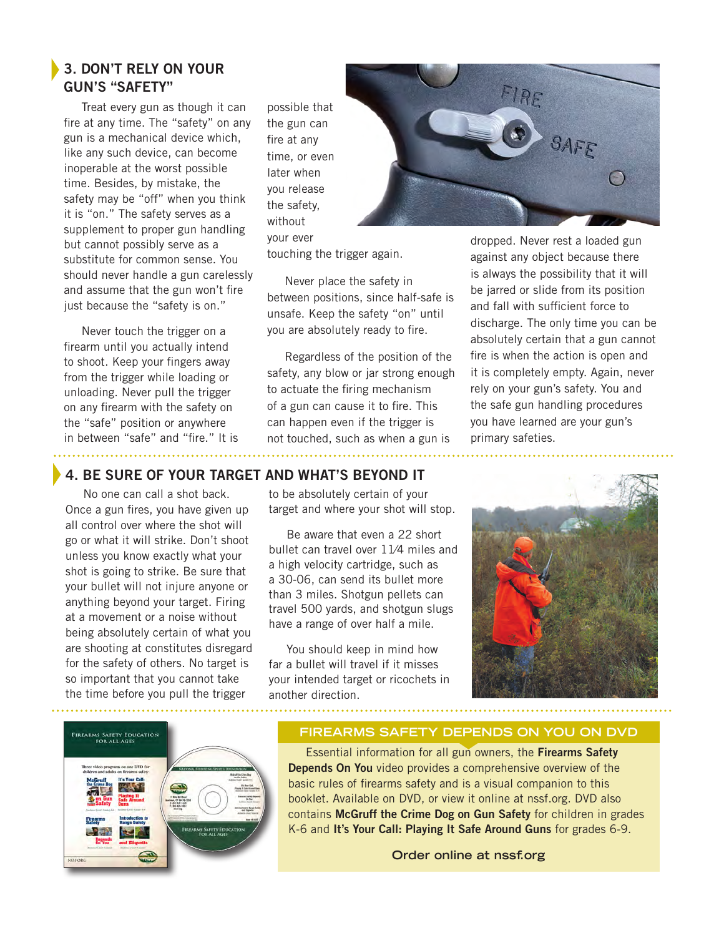## 3. DON'T RELY ON YOUR GUN'S "SAFETY"

Treat every gun as though it can fire at any time. The "safety" on any gun is a mechanical device which, like any such device, can become inoperable at the worst possible time. Besides, by mistake, the safety may be "off" when you think it is "on." The safety serves as a supplement to proper gun handling but cannot possibly serve as a substitute for common sense. You should never handle a gun carelessly and assume that the gun won't fire just because the "safety is on."

Never touch the trigger on a firearm until you actually intend to shoot. Keep your fingers away from the trigger while loading or unloading. Never pull the trigger on any firearm with the safety on the "safe" position or anywhere in between "safe" and "fire." It is

No one can call a shot back. Once a gun fires, you have given up all control over where the shot will go or what it will strike. Don't shoot unless you know exactly what your shot is going to strike. Be sure that your bullet will not injure anyone or anything beyond your target. Firing at a movement or a noise without being absolutely certain of what you are shooting at constitutes disregard for the safety of others. No target is so important that you cannot take the time before you pull the trigger

possible that the gun can fire at any time, or even later when you release the safety, without your ever touching the trigger again.



Never place the safety in between positions, since half-safe is unsafe. Keep the safety "on" until you are absolutely ready to fire.

Regardless of the position of the safety, any blow or jar strong enough to actuate the firing mechanism of a gun can cause it to fire. This can happen even if the trigger is not touched, such as when a gun is

dropped. Never rest a loaded gun against any object because there is always the possibility that it will be jarred or slide from its position and fall with sufficient force to discharge. The only time you can be absolutely certain that a gun cannot fire is when the action is open and it is completely empty. Again, never rely on your gun's safety. You and the safe gun handling procedures you have learned are your gun's primary safeties.

4. BE SURE OF YOUR TARGET AND WHAT'S BEYOND IT

to be absolutely certain of your target and where your shot will stop.

Be aware that even a 22 short bullet can travel over 11⁄4 miles and a high velocity cartridge, such as a 30-06, can send its bullet more than 3 miles. Shotgun pellets can travel 500 yards, and shotgun slugs have a range of over half a mile.

You should keep in mind how far a bullet will travel if it misses your intended target or ricochets in another direction.





#### **FIREARMS SAFETY DEPENDS ON YOU ON DVD**

Essential information for all gun owners, the Firearms Safety Depends On You video provides a comprehensive overview of the basic rules of firearms safety and is a visual companion to this booklet. Available on DVD, or view it online at nssf.org. DVD also contains McGruff the Crime Dog on Gun Safety for children in grades K-6 and It's Your Call: Playing It Safe Around Guns for grades 6-9.

**Order online at nssf.org**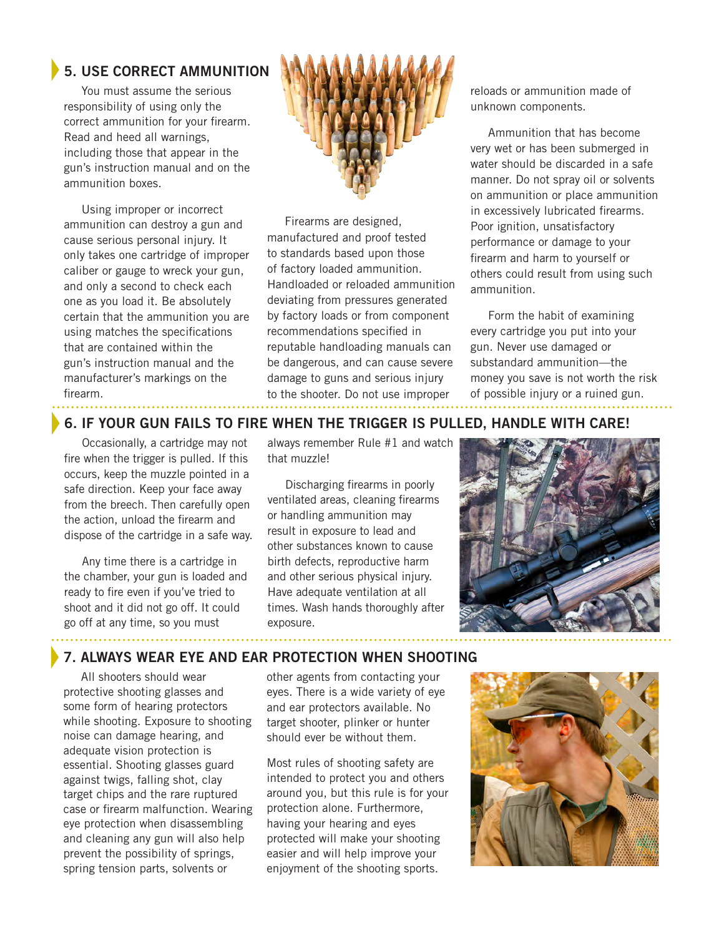# 5. USE CORRECT AMMUNITION

You must assume the serious responsibility of using only the correct ammunition for your firearm. Read and heed all warnings, including those that appear in the gun's instruction manual and on the ammunition boxes.

Using improper or incorrect ammunition can destroy a gun and cause serious personal injury. It only takes one cartridge of improper caliber or gauge to wreck your gun, and only a second to check each one as you load it. Be absolutely certain that the ammunition you are using matches the specifications that are contained within the gun's instruction manual and the manufacturer's markings on the firearm.



Firearms are designed, manufactured and proof tested to standards based upon those of factory loaded ammunition. Handloaded or reloaded ammunition deviating from pressures generated by factory loads or from component recommendations specified in reputable handloading manuals can be dangerous, and can cause severe damage to guns and serious injury to the shooter. Do not use improper

reloads or ammunition made of unknown components.

Ammunition that has become very wet or has been submerged in water should be discarded in a safe manner. Do not spray oil or solvents on ammunition or place ammunition in excessively lubricated firearms. Poor ignition, unsatisfactory performance or damage to your firearm and harm to yourself or others could result from using such ammunition.

Form the habit of examining every cartridge you put into your gun. Never use damaged or substandard ammunition—the money you save is not worth the risk of possible injury or a ruined gun.

### 6. IF YOUR GUN FAILS TO FIRE WHEN THE TRIGGER IS PULLED, HANDLE WITH CARE!

Occasionally, a cartridge may not fire when the trigger is pulled. If this occurs, keep the muzzle pointed in a safe direction. Keep your face away from the breech. Then carefully open the action, unload the firearm and dispose of the cartridge in a safe way.

Any time there is a cartridge in the chamber, your gun is loaded and ready to fire even if you've tried to shoot and it did not go off. It could go off at any time, so you must

always remember Rule #1 and watch that muzzle!

Discharging firearms in poorly ventilated areas, cleaning firearms or handling ammunition may result in exposure to lead and other substances known to cause birth defects, reproductive harm and other serious physical injury. Have adequate ventilation at all times. Wash hands thoroughly after exposure.



#### 7. ALWAYS WEAR EYE AND EAR PROTECTION WHEN SHOOTING

All shooters should wear protective shooting glasses and some form of hearing protectors while shooting. Exposure to shooting noise can damage hearing, and adequate vision protection is essential. Shooting glasses guard against twigs, falling shot, clay target chips and the rare ruptured case or firearm malfunction. Wearing eye protection when disassembling and cleaning any gun will also help prevent the possibility of springs, spring tension parts, solvents or

other agents from contacting your eyes. There is a wide variety of eye and ear protectors available. No target shooter, plinker or hunter should ever be without them.

Most rules of shooting safety are intended to protect you and others around you, but this rule is for your protection alone. Furthermore, having your hearing and eyes protected will make your shooting easier and will help improve your enjoyment of the shooting sports.

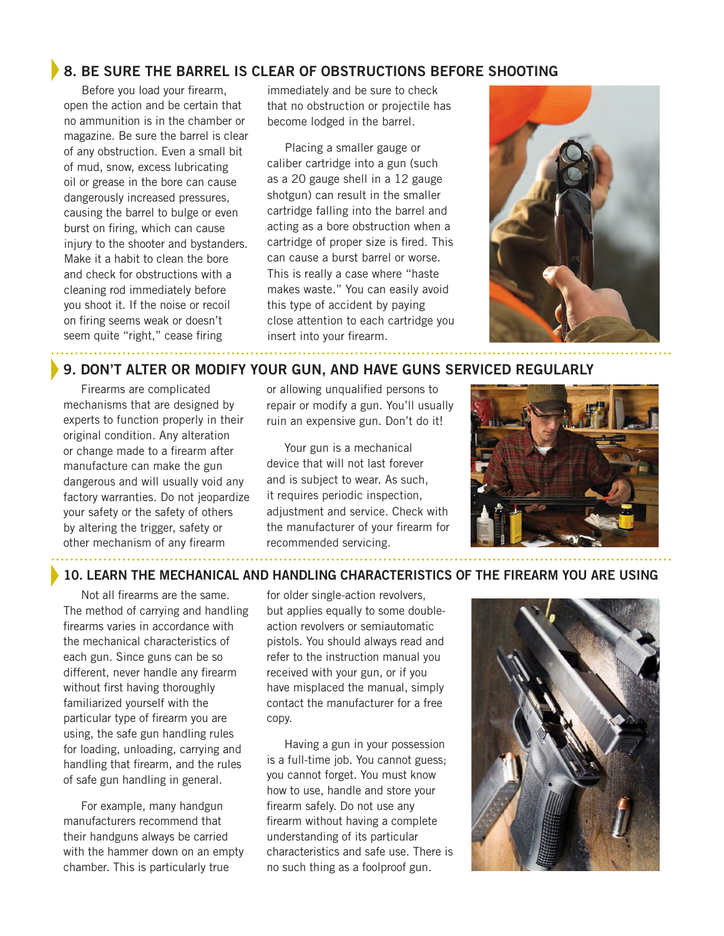## 8. BE SURE THE BARREL IS CLEAR OF OBSTRUCTIONS BEFORE SHOOTING

Before you load your firearm, open the action and be certain that no ammunition is in the chamber or magazine. Be sure the barrel is clear of any obstruction. Even a small bit of mud, snow, excess lubricating oil or grease in the bore can cause dangerously increased pressures, causing the barrel to bulge or even burst on firing, which can cause injury to the shooter and bystanders. Make it a habit to clean the bore and check for obstructions with a cleaning rod immediately before you shoot it. If the noise or recoil on firing seems weak or doesn't seem quite "right," cease firing

immediately and be sure to check that no obstruction or projectile has become lodged in the barrel.

Placing a smaller gauge or caliber cartridge into a gun (such as a 20 gauge shell in a 12 gauge shotgun) can result in the smaller cartridge falling into the barrel and acting as a bore obstruction when a cartridge of proper size is fired. This can cause a burst barrel or worse. This is really a case where "haste makes waste." You can easily avoid this type of accident by paying close attention to each cartridge you insert into your firearm.



#### 9. DON'T ALTER OR MODIFY YOUR GUN, AND HAVE GUNS SERVICED REGULARLY

Firearms are complicated mechanisms that are designed by experts to function properly in their original condition. Any alteration or change made to a firearm after manufacture can make the gun dangerous and will usually void any factory warranties. Do not jeopardize your safety or the safety of others by altering the trigger, safety or other mechanism of any firearm

or allowing unqualified persons to repair or modify a gun. You'll usually ruin an expensive gun. Don't do it!

Your gun is a mechanical device that will not last forever and is subject to wear. As such, it requires periodic inspection, adjustment and service. Check with the manufacturer of your firearm for recommended servicing.



#### 10. LEARN THE MECHANICAL AND HANDLING CHARACTERISTICS OF THE FIREARM YOU ARE USING

Not all firearms are the same. The method of carrying and handling firearms varies in accordance with the mechanical characteristics of each gun. Since guns can be so different, never handle any firearm without first having thoroughly familiarized yourself with the particular type of firearm you are using, the safe gun handling rules for loading, unloading, carrying and handling that firearm, and the rules of safe gun handling in general.

For example, many handgun manufacturers recommend that their handguns always be carried with the hammer down on an empty chamber. This is particularly true

for older single-action revolvers, but applies equally to some doubleaction revolvers or semiautomatic pistols. You should always read and refer to the instruction manual you received with your gun, or if you have misplaced the manual, simply contact the manufacturer for a free copy.

Having a gun in your possession is a full-time job. You cannot guess; you cannot forget. You must know how to use, handle and store your firearm safely. Do not use any firearm without having a complete understanding of its particular characteristics and safe use. There is no such thing as a foolproof gun.